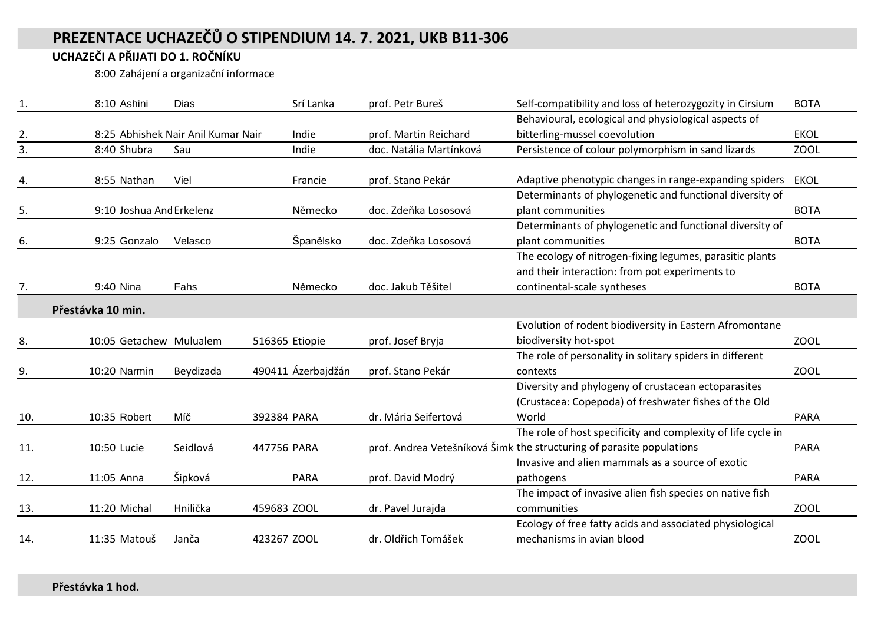## **PREZENTACE UCHAZEČŮ O STIPENDIUM 14. 7. 2021, UKB B11-306**

## **UCHAZEČI A PŘIJATI DO 1. ROČNÍKU**

8:00 Zahájení a organizační informace

| 1.  | 8:10 Ashini              | Dias                               | Srí Lanka          | prof. Petr Bureš        | Self-compatibility and loss of heterozygozity in Cirsium              | <b>BOTA</b> |
|-----|--------------------------|------------------------------------|--------------------|-------------------------|-----------------------------------------------------------------------|-------------|
|     |                          |                                    |                    |                         | Behavioural, ecological and physiological aspects of                  |             |
| 2.  |                          | 8:25 Abhishek Nair Anil Kumar Nair | Indie              | prof. Martin Reichard   | bitterling-mussel coevolution                                         | <b>EKOL</b> |
| 3.  | 8:40 Shubra              | Sau                                | Indie              | doc. Natália Martínková | Persistence of colour polymorphism in sand lizards                    | <b>ZOOL</b> |
|     |                          |                                    |                    |                         |                                                                       |             |
| 4.  | 8:55 Nathan              | Viel                               | Francie            | prof. Stano Pekár       | Adaptive phenotypic changes in range-expanding spiders                | <b>EKOL</b> |
|     |                          |                                    |                    |                         | Determinants of phylogenetic and functional diversity of              |             |
| 5.  | 9:10 Joshua And Erkelenz |                                    | Německo            | doc. Zdeňka Lososová    | plant communities                                                     | <b>BOTA</b> |
|     |                          |                                    |                    |                         | Determinants of phylogenetic and functional diversity of              |             |
| 6.  | 9:25 Gonzalo             | Velasco                            | Španělsko          | doc. Zdeňka Lososová    | plant communities                                                     | <b>BOTA</b> |
|     |                          |                                    |                    |                         | The ecology of nitrogen-fixing legumes, parasitic plants              |             |
|     |                          |                                    |                    |                         | and their interaction: from pot experiments to                        |             |
| 7.  | 9:40 Nina                | Fahs                               | Německo            | doc. Jakub Těšitel      | continental-scale syntheses                                           | <b>BOTA</b> |
|     | Přestávka 10 min.        |                                    |                    |                         |                                                                       |             |
|     |                          |                                    |                    |                         | Evolution of rodent biodiversity in Eastern Afromontane               |             |
| 8.  | 10:05 Getachew Mulualem  |                                    | 516365 Etiopie     | prof. Josef Bryja       | biodiversity hot-spot                                                 | <b>ZOOL</b> |
|     |                          |                                    |                    |                         | The role of personality in solitary spiders in different              |             |
| 9.  | 10:20 Narmin             | Beydizada                          | 490411 Ázerbajdžán | prof. Stano Pekár       | contexts                                                              | <b>ZOOL</b> |
|     |                          |                                    |                    |                         | Diversity and phylogeny of crustacean ectoparasites                   |             |
|     |                          |                                    |                    |                         | (Crustacea: Copepoda) of freshwater fishes of the Old                 |             |
| 10. | 10:35 Robert             | Míč                                | 392384 PARA        | dr. Mária Seifertová    | World                                                                 | <b>PARA</b> |
|     |                          |                                    |                    |                         | The role of host specificity and complexity of life cycle in          |             |
| 11. | 10:50 Lucie              | Seidlová                           | 447756 PARA        |                         | prof. Andrea Vetešníková Šimk the structuring of parasite populations | <b>PARA</b> |
|     |                          |                                    |                    |                         | Invasive and alien mammals as a source of exotic                      |             |
| 12. | 11:05 Anna               | Šipková                            | <b>PARA</b>        | prof. David Modrý       | pathogens                                                             | <b>PARA</b> |
|     |                          |                                    |                    |                         | The impact of invasive alien fish species on native fish              |             |
| 13. | 11:20 Michal             | Hnilička                           | 459683 ZOOL        | dr. Pavel Jurajda       | communities                                                           | <b>ZOOL</b> |
|     |                          |                                    |                    |                         | Ecology of free fatty acids and associated physiological              |             |
| 14. | 11:35 Matouš             | Janča                              | 423267 ZOOL        | dr. Oldřich Tomášek     | mechanisms in avian blood                                             | <b>ZOOL</b> |